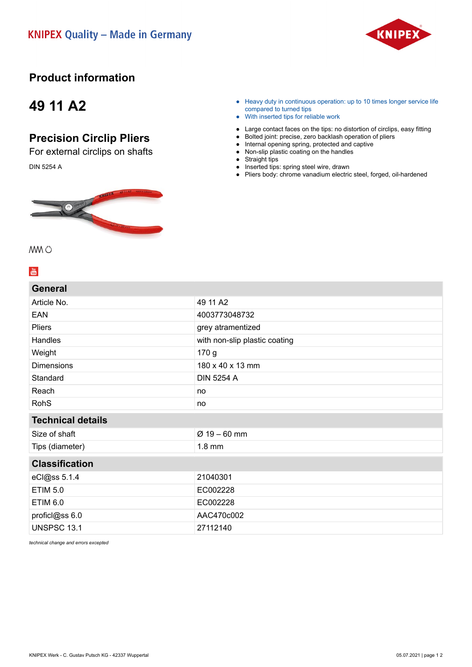

#### **Product information**

## **49 11 A2**

### **Precision Circlip Pliers**

For external circlips on shafts DIN 5254 A



- Heavy duty in continuous operation: up to 10 times longer service life compared to turned tips
- With inserted tips for reliable work
- Large contact faces on the tips: no distortion of circlips, easy fitting
- Bolted joint: precise, zero backlash operation of pliers
- Internal opening spring, protected and captive ● Non-slip plastic coating on the handles
- 
- Straight tips ● Inserted tips: spring steel wire, drawn
- Pliers body: chrome vanadium electric steel, forged, oil-hardened

MM 0

**General**

#### $\frac{Y_{0U}}{U_{0U}}$

| General                  |                               |
|--------------------------|-------------------------------|
| Article No.              | 49 11 A2                      |
| EAN                      | 4003773048732                 |
| <b>Pliers</b>            | grey atramentized             |
| Handles                  | with non-slip plastic coating |
| Weight                   | 170 g                         |
| <b>Dimensions</b>        | 180 x 40 x 13 mm              |
| Standard                 | <b>DIN 5254 A</b>             |
| Reach                    | no                            |
| <b>RohS</b>              | no                            |
|                          |                               |
| <b>Technical details</b> |                               |
| Size of shaft            | $Ø 19 - 60$ mm                |
| Tips (diameter)          | $1.8$ mm                      |
| <b>Classification</b>    |                               |
| eCl@ss 5.1.4             | 21040301                      |
| <b>ETIM 5.0</b>          | EC002228                      |
| <b>ETIM 6.0</b>          | EC002228                      |
| proficl@ss 6.0           | AAC470c002                    |

*technical change and errors excepted*